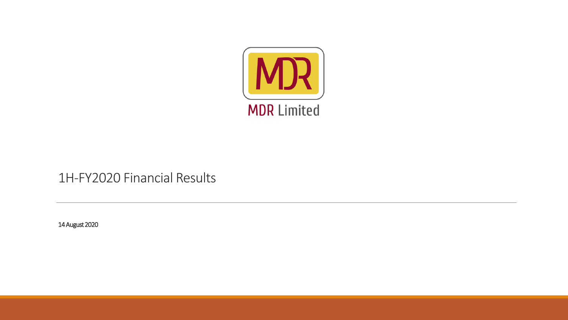

#### 1H-FY2020 Financial Results

14 August 2020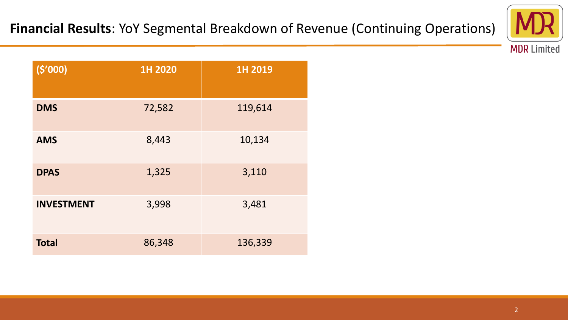

**(\$'000) 1H 2020 1H 2019 DMS** 72,582 119,614 **AMS** 8,443 10,134 **DPAS** 1,325 3,110 **INVESTMENT** 3,998 3,481 **Total** 86,348 136,339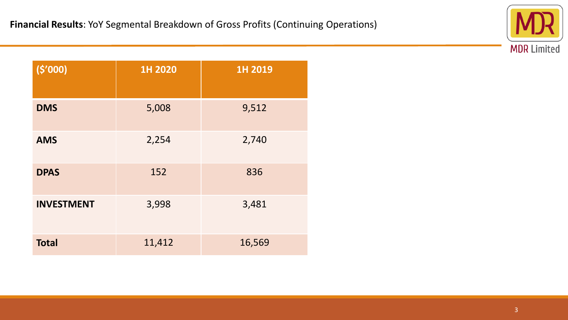

| (5'000)           | 1H 2020 | 1H 2019 |
|-------------------|---------|---------|
| <b>DMS</b>        | 5,008   | 9,512   |
| <b>AMS</b>        | 2,254   | 2,740   |
| <b>DPAS</b>       | 152     | 836     |
| <b>INVESTMENT</b> | 3,998   | 3,481   |
| <b>Total</b>      | 11,412  | 16,569  |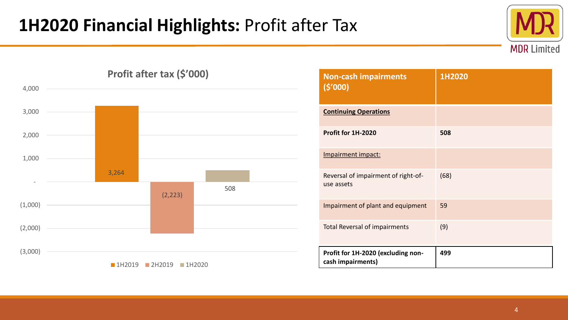## **1H2020 Financial Highlights:** Profit after Tax





| <b>Non-cash impairments</b><br>(5'000)                  | 1H2020 |
|---------------------------------------------------------|--------|
| <b>Continuing Operations</b>                            |        |
| Profit for 1H-2020                                      | 508    |
| Impairment impact:                                      |        |
| Reversal of impairment of right-of-<br>use assets       | (68)   |
| Impairment of plant and equipment                       | 59     |
| <b>Total Reversal of impairments</b>                    | (9)    |
| Profit for 1H-2020 (excluding non-<br>cash impairments) | 499    |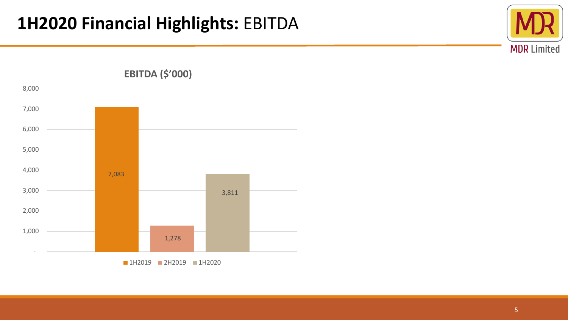



**1H2019 2H2019 1H2020**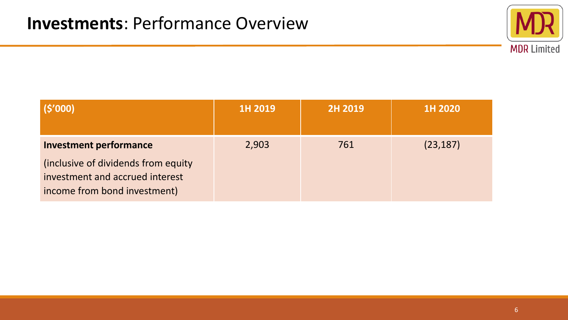

| (\$'000)                                                                                                                                 | 1H 2019 | 2H 2019 | 1H 2020   |
|------------------------------------------------------------------------------------------------------------------------------------------|---------|---------|-----------|
| <b>Investment performance</b><br>(inclusive of dividends from equity)<br>investment and accrued interest<br>income from bond investment) | 2,903   | 761     | (23, 187) |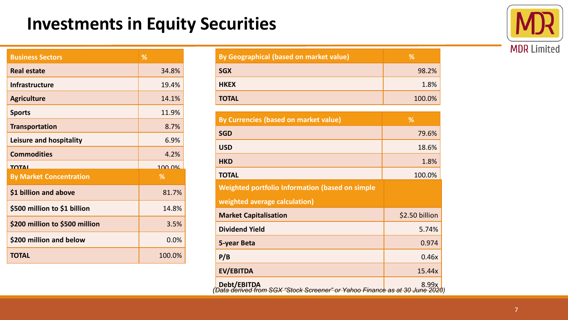### **Investments in Equity Securities**



| <b>Business Sectors</b>        | %      |
|--------------------------------|--------|
| <b>Real estate</b>             | 34.8%  |
| <b>Infrastructure</b>          | 19.4%  |
| <b>Agriculture</b>             | 14.1%  |
| <b>Sports</b>                  | 11.9%  |
| <b>Transportation</b>          | 8.7%   |
| Leisure and hospitality        | 6.9%   |
| <b>Commodities</b>             | 4.2%   |
| ΤΩΤΛΙ                          | 100.0% |
| <b>By Market Concentration</b> | ℅      |
| \$1 billion and above          | 81.7%  |
| \$500 million to \$1 billion   | 14.8%  |
| \$200 million to \$500 million | 3.5%   |
| \$200 million and below        | 0.0%   |
| <b>TOTAL</b>                   | 100.0% |

| By Geographical (based on market value) | ℅      |
|-----------------------------------------|--------|
| <b>SGX</b>                              | 98.2%  |
| <b>HKEX</b>                             | 1.8%   |
| <b>TOTAL</b>                            | 100.0% |

| By Currencies (based on market value)           | %              |
|-------------------------------------------------|----------------|
| <b>SGD</b>                                      | 79.6%          |
| <b>USD</b>                                      | 18.6%          |
| <b>HKD</b>                                      | 1.8%           |
| <b>TOTAL</b>                                    | 100.0%         |
| Weighted portfolio Information (based on simple |                |
| weighted average calculation)                   |                |
| <b>Market Capitalisation</b>                    | \$2.50 billion |
| <b>Dividend Yield</b>                           | 5.74%          |
| 5-year Beta                                     | 0.974          |
| P/B                                             | 0.46x          |
| <b>EV/EBITDA</b>                                | 15.44x         |
|                                                 |                |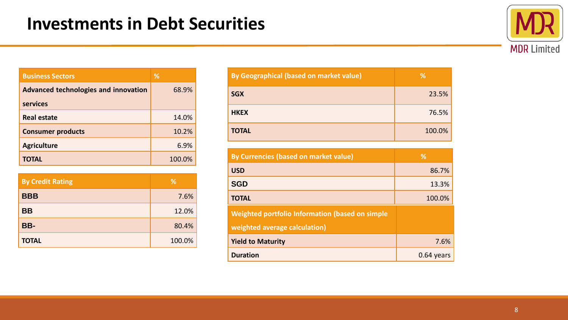

| <b>Business Sectors</b>              | ℅      |
|--------------------------------------|--------|
| Advanced technologies and innovation | 68.9%  |
| <b>services</b>                      |        |
| <b>Real estate</b>                   | 14.0%  |
| <b>Consumer products</b>             | 10.2%  |
| <b>Agriculture</b>                   | 6.9%   |
| <b>TOTAL</b>                         | 100.0% |

| <b>By Credit Rating</b> | %      |
|-------------------------|--------|
| <b>BBB</b>              | 7.6%   |
| <b>BB</b>               | 12.0%  |
| BB-                     | 80.4%  |
| <b>TOTAL</b>            | 100.0% |

| By Geographical (based on market value) | %      |
|-----------------------------------------|--------|
| <b>SGX</b>                              | 23.5%  |
| <b>HKEX</b>                             | 76.5%  |
| <b>TOTAL</b>                            | 100.0% |

| By Currencies (based on market value)                  | ℅            |
|--------------------------------------------------------|--------------|
| <b>USD</b>                                             | 86.7%        |
| <b>SGD</b>                                             | 13.3%        |
| <b>TOTAL</b>                                           | 100.0%       |
| <b>Weighted portfolio Information (based on simple</b> |              |
| weighted average calculation)                          |              |
| <b>Yield to Maturity</b>                               | 7.6%         |
| <b>Duration</b>                                        | $0.64$ vears |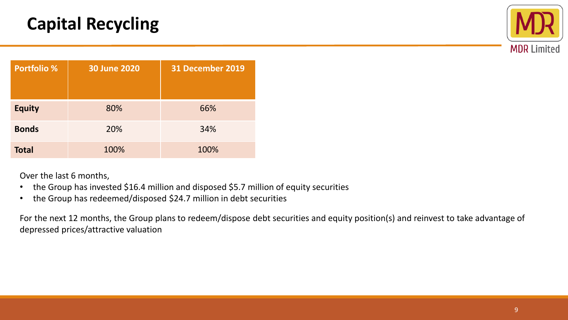# **Capital Recycling**



| <b>Portfolio %</b> | <b>30 June 2020</b> | 31 December 2019 |
|--------------------|---------------------|------------------|
| <b>Equity</b>      | 80%                 | 66%              |
| <b>Bonds</b>       | 20%                 | 34%              |
| <b>Total</b>       | 100%                | 100%             |

Over the last 6 months,

- the Group has invested \$16.4 million and disposed \$5.7 million of equity securities
- the Group has redeemed/disposed \$24.7 million in debt securities

For the next 12 months, the Group plans to redeem/dispose debt securities and equity position(s) and reinvest to take advantage of depressed prices/attractive valuation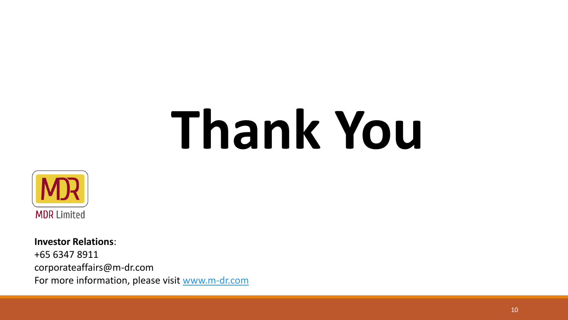# **Thank You**



**Investor Relations**: +65 6347 8911 corporateaffairs@m-dr.com For more information, please visit [www.m-dr.com](http://www.m-dr.com/)